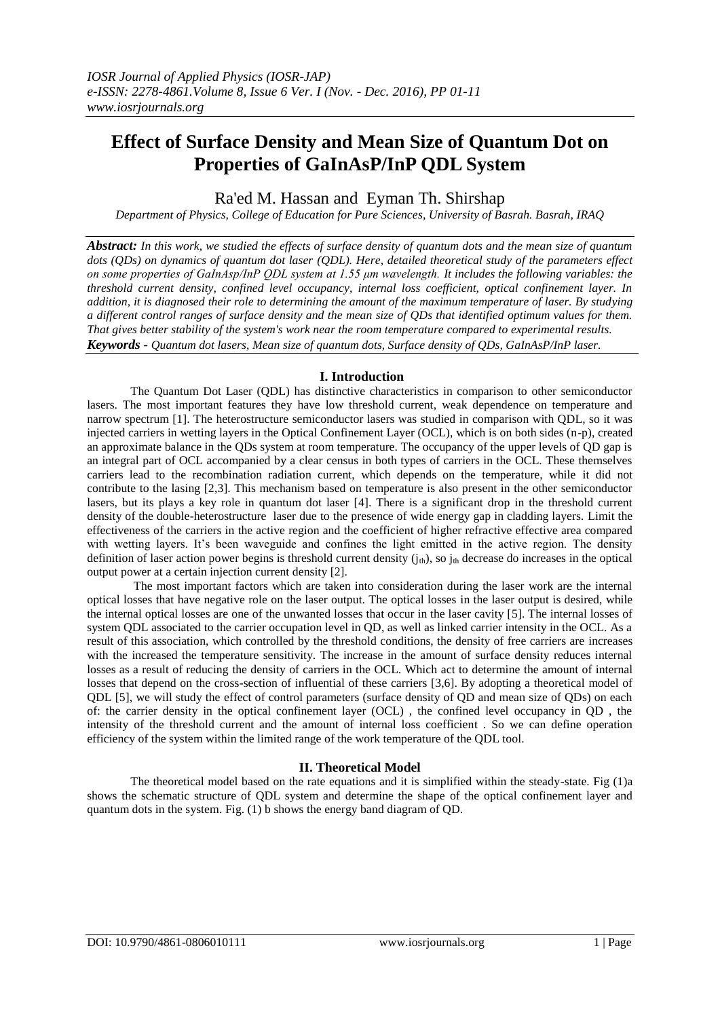# **Effect of Surface Density and Mean Size of Quantum Dot on Properties of GaInAsP/InP QDL System**

Ra'ed M. Hassan and Eyman Th. Shirshap

*Department of Physics, College of Education for Pure Sciences, University of Basrah. Basrah, IRAQ*

*Abstract: In this work, we studied the effects of surface density of quantum dots and the mean size of quantum dots (QDs) on dynamics of quantum dot laser (QDL). Here, detailed theoretical study of the parameters effect on some properties of GaInAsp/InP QDL system at 1.55 μm wavelength. It includes the following variables: the threshold current density, confined level occupancy, internal loss coefficient, optical confinement layer. In addition, it is diagnosed their role to determining the amount of the maximum temperature of laser. By studying a different control ranges of surface density and the mean size of QDs that identified optimum values for them. That gives better stability of the system's work near the room temperature compared to experimental results. Keywords - Quantum dot lasers, Mean size of quantum dots, Surface density of QDs, GaInAsP/InP laser.*

## **I. Introduction**

The Quantum Dot Laser (QDL) has distinctive characteristics in comparison to other semiconductor lasers. The most important features they have low threshold current, weak dependence on temperature and narrow spectrum [1]. The [heterostructure](https://www.google.com/search?biw=1366&bih=667&q=heterostructure&spell=1&sa=X&ved=0ahUKEwjhqd_7k8TOAhXCWRQKHb7bBg0QvwUIGCgA) semiconductor lasers was studied in comparison with QDL, so it was injected carriers in wetting layers in the Optical Confinement Layer (OCL), which is on both sides (n-p), created an approximate balance in the QDs system at room temperature. The occupancy of the upper levels of QD gap is an integral part of OCL accompanied by a clear census in both types of carriers in the OCL. These themselves carriers lead to the recombination radiation current, which depends on the temperature, while it did not contribute to the lasing [2,3]. This mechanism based on temperature is also present in the other semiconductor lasers, but its plays a key role in quantum dot laser [4]. There is a significant drop in the threshold current density of the double[-heterostructure](https://www.google.com/search?biw=1366&bih=667&q=heterostructure&spell=1&sa=X&ved=0ahUKEwjhqd_7k8TOAhXCWRQKHb7bBg0QvwUIGCgA) laser due to the presence of wide energy gap in cladding layers. Limit the effectiveness of the carriers in the active region and the coefficient of higher refractive effective area compared with wetting layers. It's been waveguide and confines the light emitted in the active region. The density definition of laser action power begins is threshold current density  $(j_{th})$ , so  $j_{th}$  decrease do increases in the optical output power at a certain injection current density [2].

The most important factors which are taken into consideration during the laser work are the internal optical losses that have negative role on the laser output. The optical losses in the laser output is desired, while the internal optical losses are one of the unwanted losses that occur in the laser cavity [5]. The internal losses of system QDL associated to the carrier occupation level in QD, as well as linked carrier intensity in the OCL. As a result of this association, which controlled by the threshold conditions, the density of free carriers are increases with the increased the temperature sensitivity. The increase in the amount of surface density reduces internal losses as a result of reducing the density of carriers in the OCL. Which act to determine the amount of internal losses that depend on the cross-section of influential of these carriers [3,6]. By adopting a theoretical model of QDL [5], we will study the effect of control parameters (surface density of QD and mean size of QDs) on each of: the carrier density in the optical confinement layer (OCL) , the confined level occupancy in QD , the intensity of the threshold current and the amount of internal loss coefficient . So we can define operation efficiency of the system within the limited range of the work temperature of the QDL tool.

## **II. Theoretical Model**

The theoretical model based on the rate equations and it is simplified within the steady-state. Fig (1)a shows the schematic structure of QDL system and determine the shape of the optical confinement layer and quantum dots in the system. Fig. (1) b shows the energy band diagram of QD.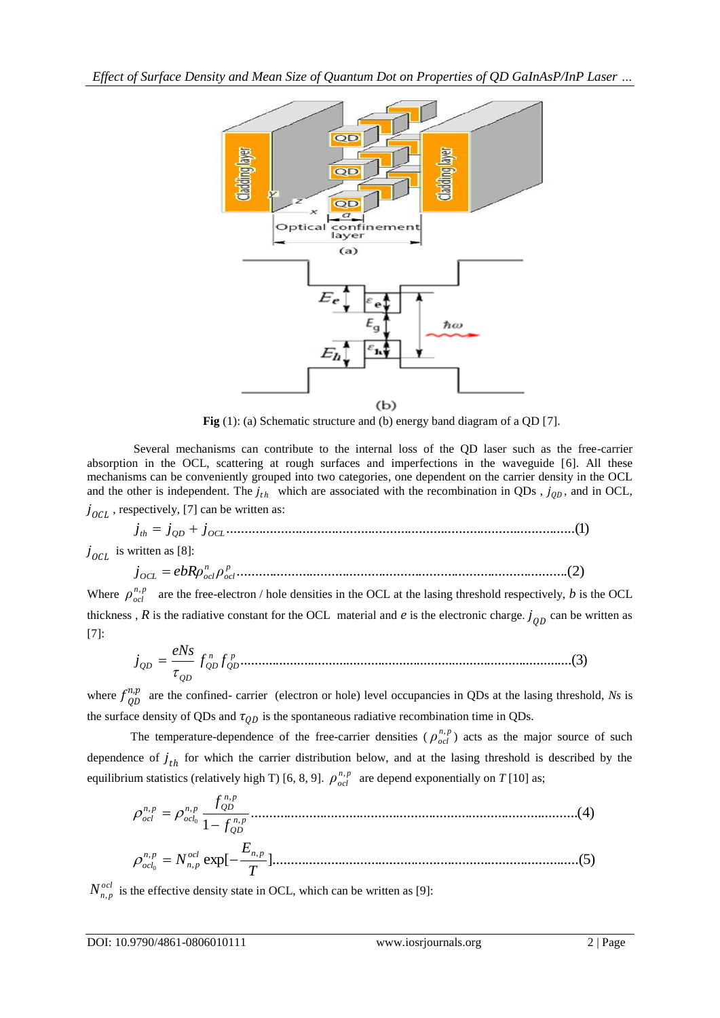

**Fig** (1): (a) Schematic structure and (b) energy band diagram of a OD [7].

Several mechanisms can contribute to the internal loss of the QD laser such as the free-carrier absorption in the OCL, scattering at rough surfaces and imperfections in the waveguide [6]. All these mechanisms can be conveniently grouped into two categories, one dependent on the carrier density in the OCL and the other is independent. The  $j_{th}$  which are associated with the recombination in QDs,  $j_{QD}$ , and in OCL,  $j_{\text{OCL}}$ , respectively, [7] can be written as:

 $j_{th} = j_{QD} + j_{OCL}$  (1)  $j_{\text{OCL}}$  is written as [8]:

...........................................................................................(2) *p ocl n OCL ocl j ebRρ ρ*

Where  $\rho_{ocl}^{n,p}$  are the free-electron / hole densities in the OCL at the lasing threshold respectively, *b* is the OCL thickness,  $R$  is the radiative constant for the OCL material and  $e$  is the electronic charge.  $j_{QD}$  can be written as [7]:

$$
j_{QD} = \frac{eNs}{\tau_{QD}} f_{QD}^n f_{QD}^p \dots (3)
$$

where  $f_{QD}^{n,p}$  are the confined- carrier (electron or hole) level occupancies in QDs at the lasing threshold, *Ns* is the surface density of QDs and  $\tau_{QD}$  is the spontaneous radiative recombination time in QDs.

The temperature-dependence of the free-carrier densities ( $\rho_{ocl}^{n,p}$ ) acts as the major source of such dependence of  $j_{th}$  for which the carrier distribution below, and at the lasing threshold is described by the equilibrium statistics (relatively high T) [6, 8, 9].  $\rho_{ocl}^{n,p}$  are depend exponentially on *T* [10] as;

..........................................................................................(4) 1 , , , , 0 *n p QD n p n p QD ocl n p ocl f f* exp[ ]....................................................................................(5) , , , <sup>0</sup> *T E N ocl n p n p n p ocl*

 $N_{n,p}^{ocl}$  is the effective density state in OCL, which can be written as [9]: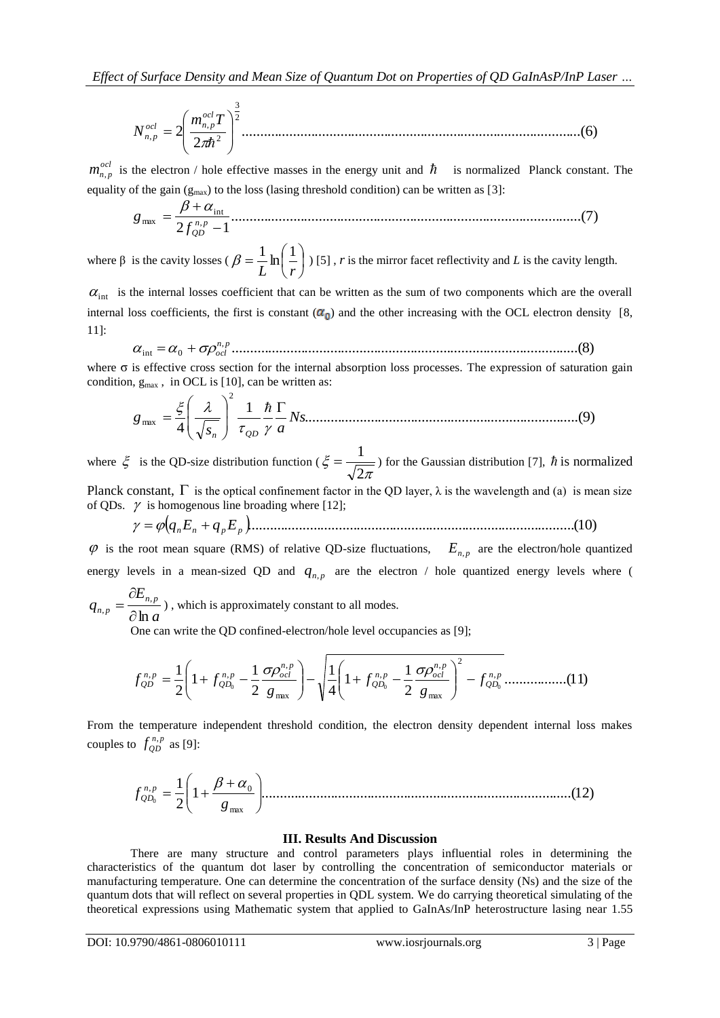.............................................................................................(6) 2 2 2 2 , , *m T N ocl ocl n p n p*

 $m_{n,p}^{ocl}$  is the electron / hole effective masses in the energy unit and  $\hbar$  is normalized Planck constant. The equality of the gain  $(g_{max})$  to the loss (lasing threshold condition) can be written as [3]:

................................................................................................(7) 2 1 , int max *n p QD f g* 

where  $\beta$  is the cavity losses ( $\beta = \frac{1}{\tau} \ln |\frac{1}{\tau}|$ J  $\left(\frac{1}{\cdot}\right)$  $\setminus$  $=\frac{1}{r}\ln$ *L r*  $\beta = \frac{1}{I} \ln \left( \frac{1}{I} \right)$  [5], *r* is the mirror facet reflectivity and *L* is the cavity length.

 $\alpha_{\text{int}}$  is the internal losses coefficient that can be written as the sum of two components which are the overall internal loss coefficients, the first is constant  $(\alpha_0)$  and the other increasing with the OCL electron density [8, 11]:

...............................................................................................(8) , int 0 *<sup>n</sup> <sup>p</sup> ocl*

where  $\sigma$  is effective cross section for the internal absorption loss processes. The expression of saturation gain condition,  $g_{max}$ , in OCL is [10], can be written as:

...........................................................................(9) 1 4 2 max *Ns s a g n QD* 

where  $\xi$  is the QD-size distribution function ( π ξ 2  $=\frac{1}{\sqrt{1-\frac{1}{\sqrt{1-\frac{1}{\sqrt{1-\frac{1}{\sqrt{1-\frac{1}{\sqrt{1-\frac{1}{\sqrt{1-\frac{1}{\sqrt{1-\frac{1}{\sqrt{1-\frac{1}{\sqrt{1-\frac{1}{\sqrt{1-\frac{1}{\sqrt{1-\frac{1}{\sqrt{1-\frac{1}{\sqrt{1-\frac{1}{\sqrt{1-\frac{1}{\sqrt{1-\frac{1}{\sqrt{1-\frac{1}{\sqrt{1-\frac{1}{\sqrt{1-\frac{1}{\sqrt{1-\frac{1}{\sqrt{1-\frac{1}{\sqrt{1-\frac{1}{\sqrt{1-\frac{1}{\sqrt{1-\frac{1}{\sqrt{1-\frac{1$ Planck constant,  $\Gamma$  is the optical confinement factor in the QD layer,  $\lambda$  is the wavelength and (a) is mean size

of QDs. is homogenous line broading where [12]; ..........................................................................................(10) *qnE<sup>n</sup> qpE<sup>p</sup>* 

 $\varphi$  is the root mean square (RMS) of relative QD-size fluctuations,  $E_{n,p}$  are the electron/hole quantized energy levels in a mean-sized QD and  $q_{n,p}$  are the electron / hole quantized energy levels where (  $\partial$ 

*a E*  $q_{n,p} = \frac{\partial L_{n,p}}{\partial p}$  $n,p = \partial \ln \frac{p}{p}$ ,  $, p - \partial$  $=\frac{1}{\epsilon}$ , which is approximately constant to all modes.

3

One can write the QD confined-electron/hole level occupancies as [9];

$$
\frac{\partial \ln a}{\partial \rho} = \frac{1}{2} \left( 1 + f_{QD_0}^{n,p} - \frac{1}{2} \frac{\sigma \rho_{ocl}^{n,p}}{g_{\text{max}}} \right) - \sqrt{\frac{1}{4} \left( 1 + f_{QD_0}^{n,p} - \frac{1}{2} \frac{\sigma \rho_{ocl}^{n,p}}{g_{\text{max}}} \right)^2 - f_{QD_0}^{n,p}} \quad (11)
$$

From the temperature independent threshold condition, the electron density dependent internal loss makes couples to  $f_{QD}^{n,p}$  as [9]:

1 .....................................................................................(12) 2 1 max , 0 <sup>0</sup> *g f n p Q D* 

### **III. Results And Discussion**

There are many structure and control parameters plays influential roles in determining the characteristics of the quantum dot laser by controlling the concentration of semiconductor materials or manufacturing temperature. One can determine the concentration of the surface density (Ns) and the size of the quantum dots that will reflect on several properties in QDL system. We do carrying theoretical simulating of the theoretical expressions using Mathematic system that applied to GaInAs/InP heterostructure lasing near 1.55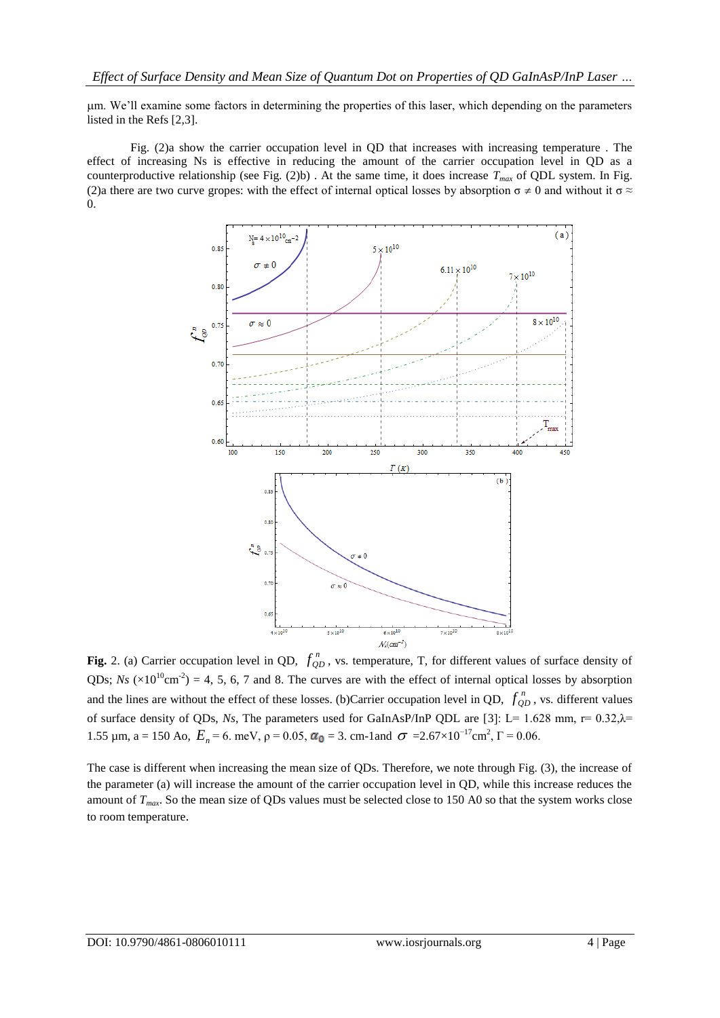m. We'll examine some factors in determining the properties of this laser, which depending on the parameters listed in the Refs [2,3].

Fig. (2)a show the carrier occupation level in QD that increases with increasing temperature . The effect of increasing Ns is effective in reducing the amount of the carrier occupation level in QD as a counterproductive relationship (see Fig.  $(2)b$ ). At the same time, it does increase  $T_{max}$  of QDL system. In Fig. (2)a there are two curve gropes: with the effect of internal optical losses by absorption  $\sigma \neq 0$  and without it  $\sigma \approx$ 0.



**Fig.** 2. (a) Carrier occupation level in QD,  $f_{QD}^n$ , vs. temperature, T, for different values of surface density of QDs;  $Ns$  ( $\times 10^{10}$ cm<sup>-2</sup>) = 4, 5, 6, 7 and 8. The curves are with the effect of internal optical losses by absorption and the lines are without the effect of these losses. (b)Carrier occupation level in QD,  $f_{QD}^n$ , vs. different values of surface density of QDs, *Ns*, The parameters used for GaInAsP/InP QDL are [3]: L= 1.628 mm, r= 0.32,λ= 1.55 μm, a = 150 Ao,  $E_n$  = 6. meV, ρ = 0.05,  $\alpha_0$  = 3. cm-1and  $\sigma$  = 2.67×10<sup>-17</sup>cm<sup>2</sup>, Γ = 0.06.

The case is different when increasing the mean size of QDs. Therefore, we note through Fig. (3), the increase of the parameter (a) will increase the amount of the carrier occupation level in QD, while this increase reduces the amount of *Tmax*. So the mean size of QDs values must be selected close to 150 A0 so that the system works close to room temperature.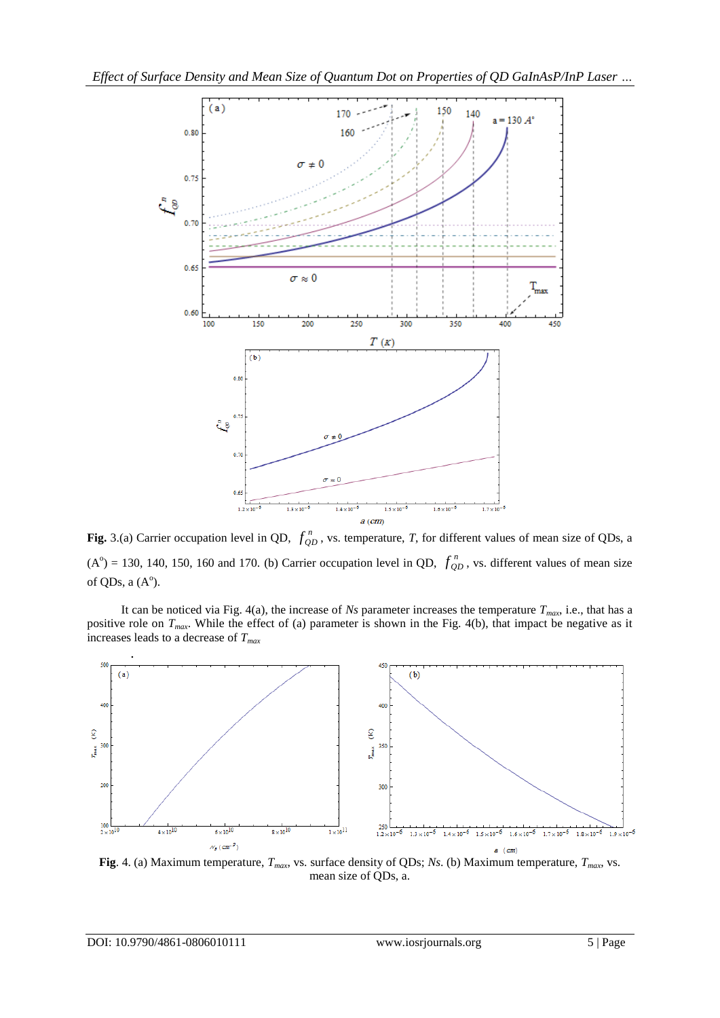

**Fig.** 3.(a) Carrier occupation level in QD,  $f_{QD}^n$ , vs. temperature, *T*, for different values of mean size of QDs, a  $(A^{\circ}) = 130, 140, 150, 160$  and 170. (b) Carrier occupation level in QD,  $f_{QD}^{n}$ , vs. different values of mean size of QDs, a  $(A^{\circ})$ .

It can be noticed via Fig. 4(a), the increase of *Ns* parameter increases the temperature  $T<sub>max</sub>$ , i.e., that has a positive role on *Tmax*. While the effect of (a) parameter is shown in the Fig. 4(b), that impact be negative as it increases leads to a decrease of *Tmax*



**Fig**. 4. (a) Maximum temperature, *Tmax*, vs. surface density of QDs; *Ns*. (b) Maximum temperature, *Tmax*, vs. mean size of QDs, a.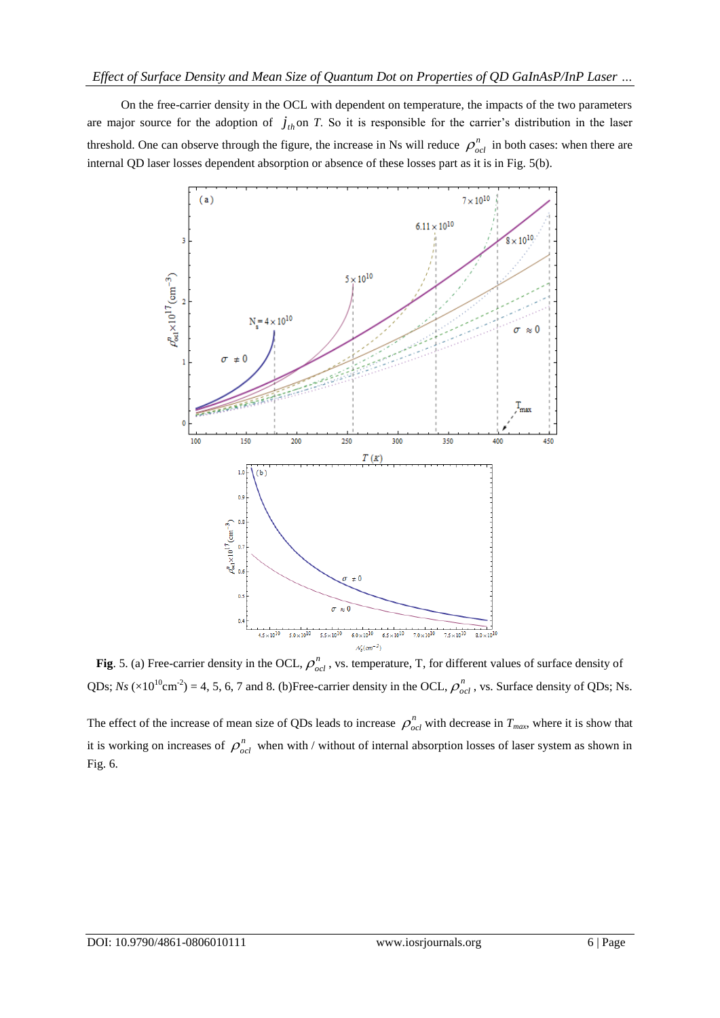On the free-carrier density in the OCL with dependent on temperature, the impacts of the two parameters are major source for the adoption of  $j_{th}$  on *T*. So it is responsible for the carrier's distribution in the laser threshold. One can observe through the figure, the increase in Ns will reduce  $\rho_{ocl}^n$  in both cases: when there are internal QD laser losses dependent absorption or absence of these losses part as it is in Fig. 5(b).



**Fig.** 5. (a) Free-carrier density in the OCL,  $\rho_{ocl}^n$ , vs. temperature, T, for different values of surface density of QDs;  $Ns \ ( \times 10^{10} \text{cm}^{-2} ) = 4, 5, 6, 7$  and 8. (b)Free-carrier density in the OCL,  $\rho_{ocl}^n$ , vs. Surface density of QDs; Ns.

The effect of the increase of mean size of QDs leads to increase  $\rho_{\text{ocl}}^n$  with decrease in  $T_{\text{max}}$ , where it is show that it is working on increases of  $\rho_{ocl}^n$  when with / without of internal absorption losses of laser system as shown in Fig. 6.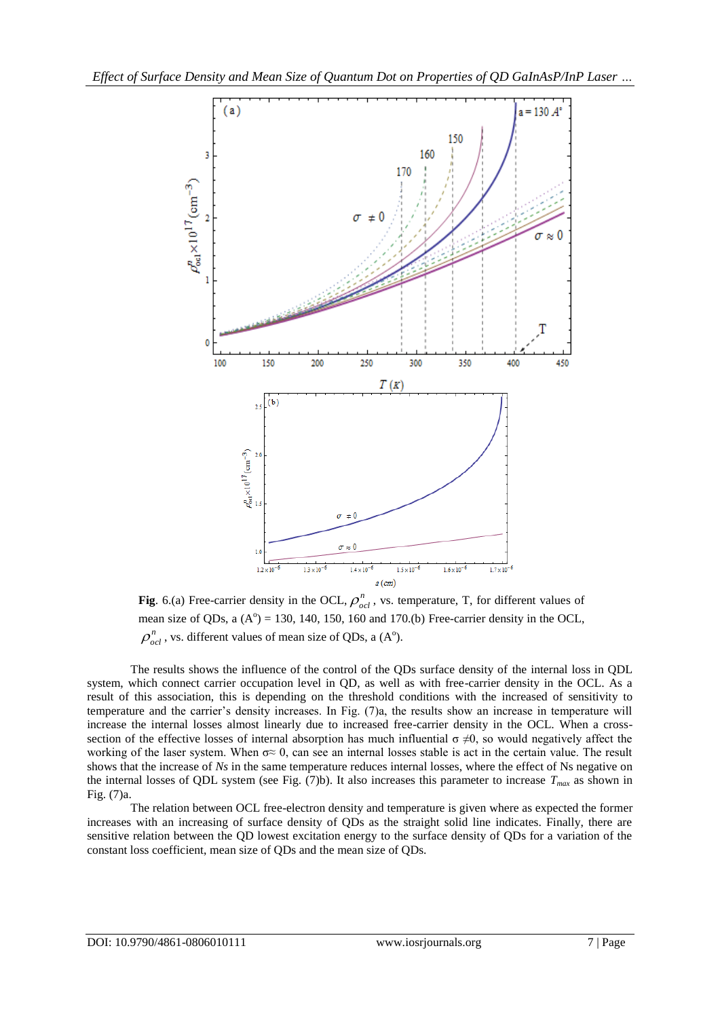

**Fig.** 6.(a) Free-carrier density in the OCL,  $\rho_{ocl}^n$ , vs. temperature, T, for different values of mean size of QDs, a  $(A^0) = 130$ , 140, 150, 160 and 170.(b) Free-carrier density in the OCL,  $\rho_{ocl}^n$ , vs. different values of mean size of QDs, a (A<sup>o</sup>).

The results shows the influence of the control of the QDs surface density of the internal loss in QDL system, which connect carrier occupation level in QD, as well as with free-carrier density in the OCL. As a result of this association, this is depending on the threshold conditions with the increased of sensitivity to temperature and the carrier's density increases. In Fig. (7)a, the results show an increase in temperature will increase the internal losses almost linearly due to increased free-carrier density in the OCL. When a crosssection of the effective losses of internal absorption has much influential  $\sigma \neq 0$ , so would negatively affect the working of the laser system. When  $\sigma \approx 0$ , can see an internal losses stable is act in the certain value. The result shows that the increase of *Ns* in the same temperature reduces internal losses, where the effect of Ns negative on the internal losses of QDL system (see Fig. (7)b). It also increases this parameter to increase *Tmax* as shown in Fig. (7)a.

The relation between OCL free-electron density and temperature is given where as expected the former increases with an increasing of surface density of QDs as the straight solid line indicates. Finally, there are sensitive relation between the QD lowest excitation energy to the surface density of QDs for a variation of the constant loss coefficient, mean size of QDs and the mean size of QDs.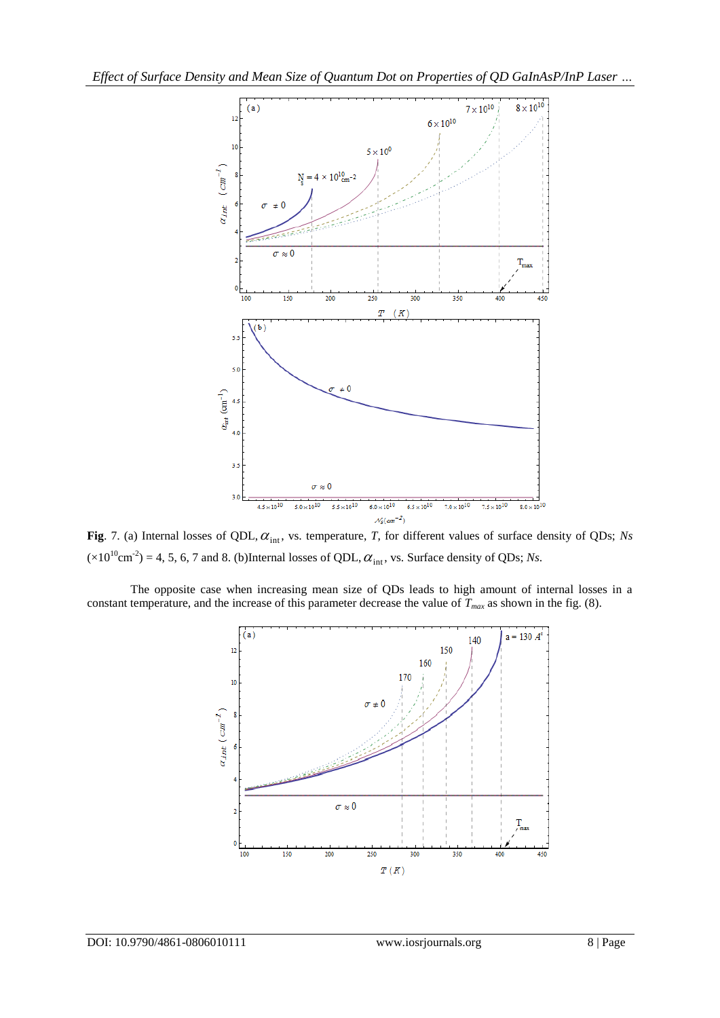

Fig. 7. (a) Internal losses of QDL,  $\alpha_{\text{int}}$ , vs. temperature, *T*, for different values of surface density of QDs; *Ns*  $(\times 10^{10} \text{cm}^2) = 4, 5, 6, 7$  and 8. (b)Internal losses of QDL,  $\alpha_{\text{int}}$ , vs. Surface density of QDs; *Ns*.

The opposite case when increasing mean size of QDs leads to high amount of internal losses in a constant temperature, and the increase of this parameter decrease the value of  $T<sub>max</sub>$  as shown in the fig. (8).

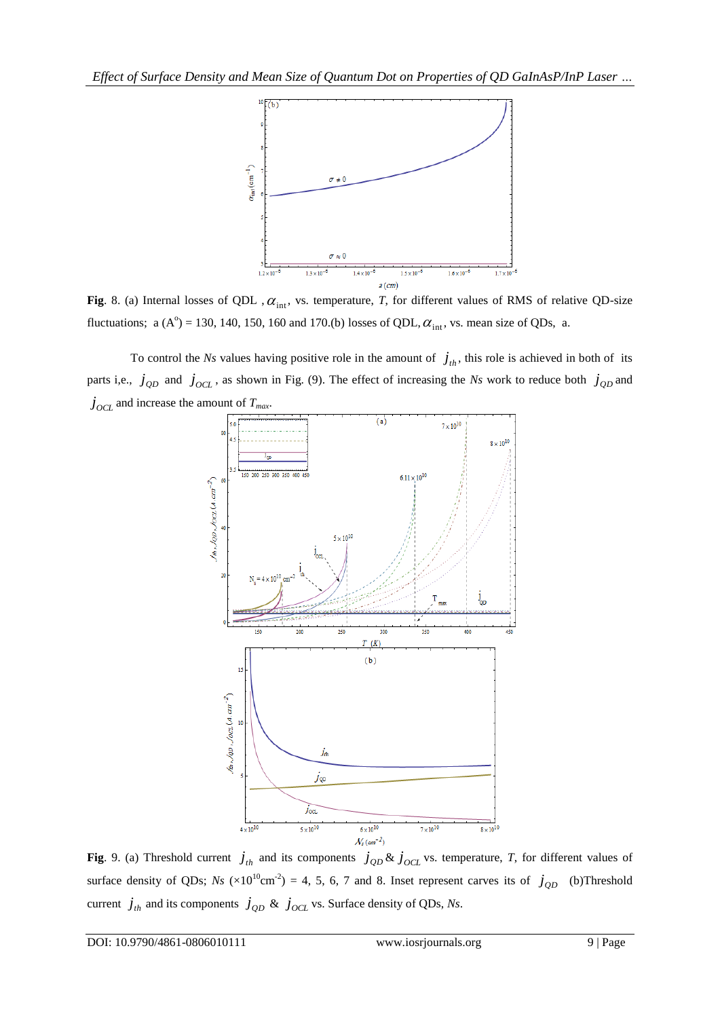

**Fig**. 8. (a) Internal losses of QDL,  $\alpha_{\text{int}}$ , vs. temperature, *T*, for different values of RMS of relative QD-size fluctuations; a  $(A^{\circ}) = 130, 140, 150, 160$  and 170.(b) losses of QDL,  $\alpha_{int}$ , vs. mean size of QDs, a.

To control the *Ns* values having positive role in the amount of  $j_{th}$ , this role is achieved in both of its parts i,e.,  $j_{QD}$  and  $j_{OCL}$ , as shown in Fig. (9). The effect of increasing the *Ns* work to reduce both  $j_{QD}$  and  $\dot{J}_{OCL}$  and increase the amount of  $T_{max}$ .



**Fig**. 9. (a) Threshold current  $j_{th}$  and its components  $j_{QD}$  &  $j_{OCL}$  vs. temperature, *T*, for different values of surface density of QDs;  $Ns$  ( $\times 10^{10}$ cm<sup>-2</sup>) = 4, 5, 6, 7 and 8. Inset represent carves its of  $j_{QD}$  (b)Threshold current  $j_{th}$  and its components  $j_{QD}$  &  $j_{OCL}$  vs. Surface density of QDs, *Ns*.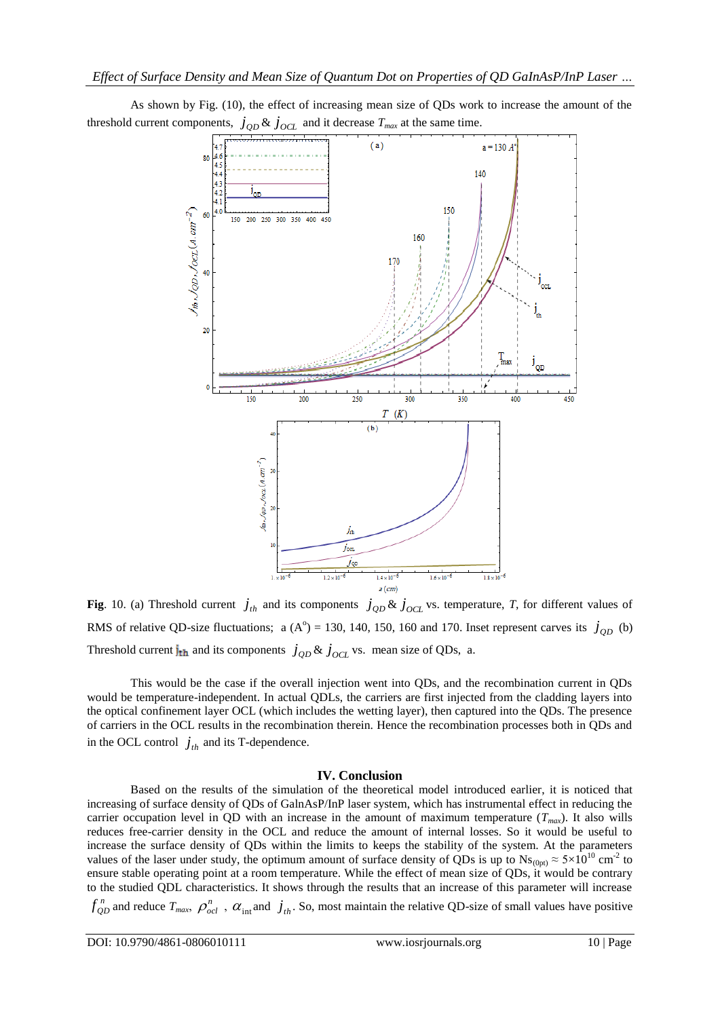

As shown by Fig. (10), the effect of increasing mean size of QDs work to increase the amount of the threshold current components,  $j_{QD}$  &  $j_{OCL}$  and it decrease  $T_{max}$  at the same time.

**Fig**. 10. (a) Threshold current  $j_{th}$  and its components  $j_{QD}$  &  $j_{OCL}$  vs. temperature, *T*, for different values of RMS of relative QD-size fluctuations; a  $(A^{\circ}) = 130, 140, 150, 160$  and 170. Inset represent carves its  $j_{QD}$  (b) Threshold current  $j_{\text{th}}$  and its components  $j_{QD}$  &  $j_{OCL}$  vs. mean size of QDs, a.

This would be the case if the overall injection went into QDs, and the recombination current in QDs would be temperature-independent. In actual QDLs, the carriers are first injected from the cladding layers into the optical confinement layer OCL (which includes the wetting layer), then captured into the QDs. The presence of carriers in the OCL results in the recombination therein. Hence the recombination processes both in QDs and in the OCL control  $j_{th}$  and its T-dependence.

## **IV. Conclusion**

Based on the results of the simulation of the theoretical model introduced earlier, it is noticed that increasing of surface density of QDs of GalnAsP/InP laser system, which has instrumental effect in reducing the carrier occupation level in QD with an increase in the amount of maximum temperature  $(T_{max})$ . It also wills reduces free-carrier density in the OCL and reduce the amount of internal losses. So it would be useful to increase the surface density of QDs within the limits to keeps the stability of the system. At the parameters values of the laser under study, the optimum amount of surface density of QDs is up to  $Ns_{(0pt)} \approx 5 \times 10^{10}$  cm<sup>-2</sup> to ensure stable operating point at a room temperature. While the effect of mean size of QDs, it would be contrary to the studied QDL characteristics. It shows through the results that an increase of this parameter will increase

 $f_{QD}^n$  and reduce  $T_{max}$ ,  $\rho_{ocl}^n$ ,  $\alpha_{int}$  and  $j_{th}$ . So, most maintain the relative QD-size of small values have positive